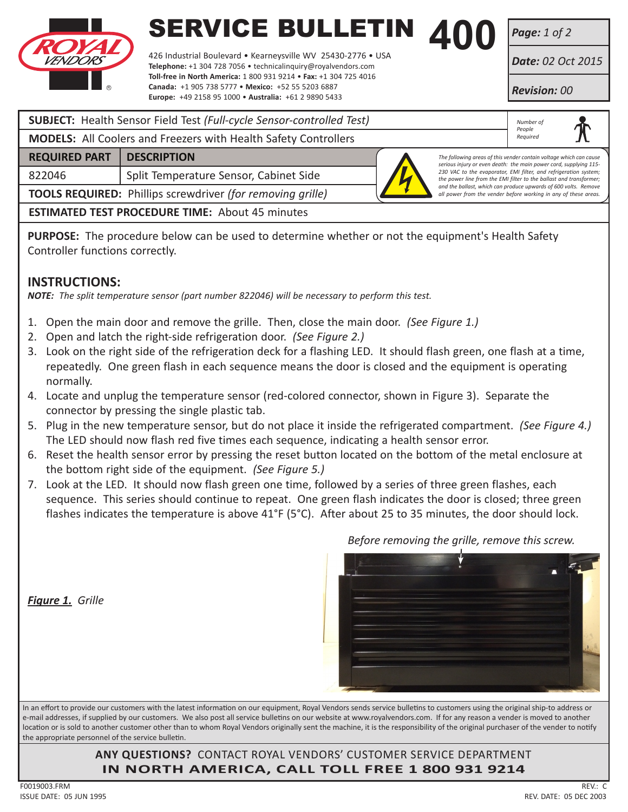

# **SERVICE BULLETIN 400**<br>426 Industrial Boulevard • Kearneysville WV 25430-2776 • USA

426 Industrial Boulevard • Kearneysville WV 25430-2776 • USA **Telephone:** +1 304 728 7056 • technicalinquiry@royalvendors.com **Toll-free in North America:** 1 800 931 9214 • **Fax:** +1 304 725 4016 **Canada:** +1 905 738 5777 • **Mexico:** +52 55 5203 6887 **Europe:** +49 2158 95 1000 • **Australia:** +61 2 9890 5433

*Page: 1 of 2*

*Date: 02 Oct 2015*

*Revision: 00*

| <b>SUBJECT:</b> Health Sensor Field Test (Full-cycle Sensor-controlled Test) | Number of<br>People                                                                                                                |                                                                                                                                         |  |  |  |
|------------------------------------------------------------------------------|------------------------------------------------------------------------------------------------------------------------------------|-----------------------------------------------------------------------------------------------------------------------------------------|--|--|--|
| <b>MODELS:</b> All Coolers and Freezers with Health Safety Controllers       | Required                                                                                                                           |                                                                                                                                         |  |  |  |
| <b>REQUIRED PART</b>                                                         | <b>DESCRIPTION</b>                                                                                                                 | The following areas of this vender contain voltage which can cause<br>serious injury or even death: the main power cord, supplying 115- |  |  |  |
| 822046                                                                       | Split Temperature Sensor, Cabinet Side                                                                                             | 230 VAC to the evaporator, EMI filter, and refrigeration system;<br>the power line from the EMI filter to the ballast and transformer;  |  |  |  |
| <b>TOOLS REQUIRED:</b> Phillips screwdriver (for removing grille)            | and the ballast, which can produce upwards of 600 volts. Remove<br>all power from the vender before working in any of these areas. |                                                                                                                                         |  |  |  |
| <b>ESTIMATED TEST PROCEDURE TIME: About 45 minutes</b>                       |                                                                                                                                    |                                                                                                                                         |  |  |  |

**PURPOSE:** The procedure below can be used to determine whether or not the equipment's Health Safety Controller functions correctly.

#### **INSTRUCTIONS:**

*NOTE: The split temperature sensor (part number 822046) will be necessary to perform this test.*

- 1. Open the main door and remove the grille. Then, close the main door. *(See Figure 1.)*
- 2. Open and latch the right-side refrigeration door. *(See Figure 2.)*
- 3. Look on the right side of the refrigeration deck for a flashing LED. It should flash green, one flash at a time, repeatedly. One green flash in each sequence means the door is closed and the equipment is operating normally.
- 4. Locate and unplug the temperature sensor (red-colored connector, shown in Figure 3). Separate the connector by pressing the single plastic tab.
- 5. Plug in the new temperature sensor, but do not place it inside the refrigerated compartment. *(See Figure 4.)* The LED should now flash red five times each sequence, indicating a health sensor error.
- 6. Reset the health sensor error by pressing the reset button located on the bottom of the metal enclosure at the bottom right side of the equipment. *(See Figure 5.)*
- 7. Look at the LED. It should now flash green one time, followed by a series of three green flashes, each sequence. This series should continue to repeat. One green flash indicates the door is closed; three green flashes indicates the temperature is above 41°F (5°C). After about 25 to 35 minutes, the door should lock.

*Figure 1. Grille*

*Before removing the grille, remove this screw.*

In an effort to provide our customers with the latest information on our equipment, Royal Vendors sends service bulletins to customers using the original ship-to address or e-mail addresses, if supplied by our customers. We also post all service bulletins on our website at www.royalvendors.com. If for any reason a vender is moved to another location or is sold to another customer other than to whom Royal Vendors originally sent the machine, it is the responsibility of the original purchaser of the vender to notify the appropriate personnel of the service bulletin.

> **ANY QUESTIONS?** CONTACT ROYAL VENDORS' CUSTOMER SERVICE DEPARTMENT **IN NORTH AMERICA, CALL TOLL FREE 1 800 931 9214**